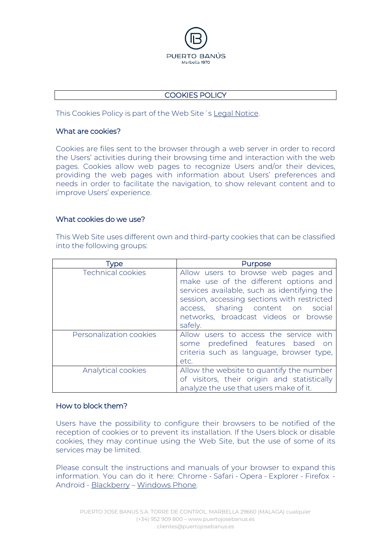

## COOKIES POLICY

This Cookies Policy is part of the Web Site´s Legal Notice.

## What are cookies?

Cookies are files sent to the browser through a web server in order to record the Users' activities during their browsing time and interaction with the web pages. Cookies allow web pages to recognize Users and/or their devices, providing the web pages with information about Users' preferences and needs in order to facilitate the navigation, to show relevant content and to improve Users' experience.

## What cookies do we use?

This Web Site uses different own and third-party cookies that can be classified into the following groups:

| <b>Npe</b>              | Purpose                                                                                                                                                                                                                                                            |
|-------------------------|--------------------------------------------------------------------------------------------------------------------------------------------------------------------------------------------------------------------------------------------------------------------|
| Technical cookies       | Allow users to browse web pages and<br>make use of the different options and<br>services available, such as identifying the<br>session, accessing sections with restricted<br>access, sharing content on social<br>networks, broadcast videos or browse<br>safely. |
| Personalization cookies | Allow users to access the service with<br>some predefined features based on<br>criteria such as language, browser type,<br>etc.                                                                                                                                    |
| Analytical cookies      | Allow the website to quantify the number<br>of visitors, their origin and statistically<br>analyze the use that users make of it.                                                                                                                                  |

## How to block them?

Users have the possibility to configure their browsers to be notified of the reception of cookies or to prevent its installation. If the Users block or disable cookies, they may continue using the Web Site, but the use of some of its services may be limited.

Please consult the instructions and manuals of your browser to expand this information. You can do it here: [Chrome](http://support.google.com/chrome/bin/answer.py?hl=es&answer=95647) - [Safari](http://www.apple.com/es/privacy/use-of-cookies/) - [Opera](http://help.opera.com/Windows/10.60/es-ES/cookies.html) - [Explorer](http://windows.microsoft.com/es-es/windows7/how-to-manage-cookies-in-internet-explorer-9) - [Firefox](http://support.mozilla.org/es/kb/habilitar-y-deshabilitar-cookies-que-los-sitios-we) - [Android](http://support.google.com/android/?hl=es) - [Blackberry](http://docs.blackberry.com/en/smartphone_users/deliverables/32004/Turn_off_cookies_in_the_browser_60_1072866_11.jsp) – [Windows Phone.](http://www.windowsphone.com/es-es/how-to/wp7/web/changing-privacy-and-other-browser-settings)